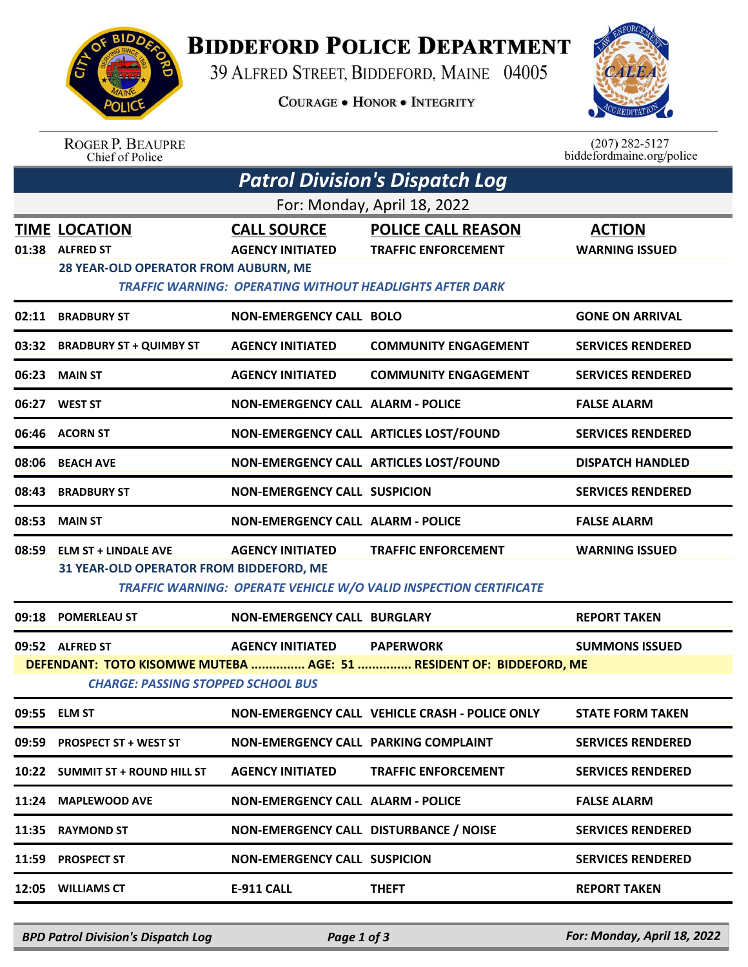

## **BIDDEFORD POLICE DEPARTMENT**

39 ALFRED STREET, BIDDEFORD, MAINE 04005

**COURAGE . HONOR . INTEGRITY** 



ROGER P. BEAUPRE<br>Chief of Police

 $(207)$  282-5127<br>biddefordmaine.org/police

| <b>Patrol Division's Dispatch Log</b>                                                                                                                                                                       |                                                                                        |                                               |                                                                                                                            |                                        |  |  |  |  |
|-------------------------------------------------------------------------------------------------------------------------------------------------------------------------------------------------------------|----------------------------------------------------------------------------------------|-----------------------------------------------|----------------------------------------------------------------------------------------------------------------------------|----------------------------------------|--|--|--|--|
| For: Monday, April 18, 2022                                                                                                                                                                                 |                                                                                        |                                               |                                                                                                                            |                                        |  |  |  |  |
|                                                                                                                                                                                                             | <b>TIME LOCATION</b><br>01:38 ALFRED ST<br><b>28 YEAR-OLD OPERATOR FROM AUBURN, ME</b> | <b>CALL SOURCE</b><br><b>AGENCY INITIATED</b> | <b>POLICE CALL REASON</b><br><b>TRAFFIC ENFORCEMENT</b><br><b>TRAFFIC WARNING: OPERATING WITHOUT HEADLIGHTS AFTER DARK</b> | <b>ACTION</b><br><b>WARNING ISSUED</b> |  |  |  |  |
|                                                                                                                                                                                                             | 02:11 BRADBURY ST                                                                      | <b>NON-EMERGENCY CALL BOLO</b>                |                                                                                                                            | <b>GONE ON ARRIVAL</b>                 |  |  |  |  |
|                                                                                                                                                                                                             | 03:32 BRADBURY ST + QUIMBY ST                                                          | <b>AGENCY INITIATED</b>                       | <b>COMMUNITY ENGAGEMENT</b>                                                                                                | <b>SERVICES RENDERED</b>               |  |  |  |  |
| 06:23                                                                                                                                                                                                       | <b>MAIN ST</b>                                                                         | <b>AGENCY INITIATED</b>                       | <b>COMMUNITY ENGAGEMENT</b>                                                                                                | <b>SERVICES RENDERED</b>               |  |  |  |  |
|                                                                                                                                                                                                             | 06:27 WEST ST                                                                          | <b>NON-EMERGENCY CALL ALARM - POLICE</b>      |                                                                                                                            | <b>FALSE ALARM</b>                     |  |  |  |  |
|                                                                                                                                                                                                             | 06:46 ACORN ST                                                                         | NON-EMERGENCY CALL ARTICLES LOST/FOUND        |                                                                                                                            | <b>SERVICES RENDERED</b>               |  |  |  |  |
|                                                                                                                                                                                                             | 08:06 BEACH AVE                                                                        | NON-EMERGENCY CALL ARTICLES LOST/FOUND        |                                                                                                                            | <b>DISPATCH HANDLED</b>                |  |  |  |  |
| 08:43                                                                                                                                                                                                       | <b>BRADBURY ST</b>                                                                     | <b>NON-EMERGENCY CALL SUSPICION</b>           |                                                                                                                            | <b>SERVICES RENDERED</b>               |  |  |  |  |
| 08:53                                                                                                                                                                                                       | <b>MAIN ST</b>                                                                         | <b>NON-EMERGENCY CALL ALARM - POLICE</b>      |                                                                                                                            | <b>FALSE ALARM</b>                     |  |  |  |  |
|                                                                                                                                                                                                             | 08:59 ELM ST + LINDALE AVE<br>31 YEAR-OLD OPERATOR FROM BIDDEFORD, ME                  | <b>AGENCY INITIATED</b>                       | <b>TRAFFIC ENFORCEMENT</b><br>TRAFFIC WARNING: OPERATE VEHICLE W/O VALID INSPECTION CERTIFICATE                            | <b>WARNING ISSUED</b>                  |  |  |  |  |
| 09:18                                                                                                                                                                                                       | <b>POMERLEAU ST</b>                                                                    | <b>NON-EMERGENCY CALL BURGLARY</b>            |                                                                                                                            | <b>REPORT TAKEN</b>                    |  |  |  |  |
| <b>AGENCY INITIATED</b><br>09:52 ALFRED ST<br><b>PAPERWORK</b><br><b>SUMMONS ISSUED</b><br>DEFENDANT: TOTO KISOMWE MUTEBA  AGE: 51  RESIDENT OF: BIDDEFORD, ME<br><b>CHARGE: PASSING STOPPED SCHOOL BUS</b> |                                                                                        |                                               |                                                                                                                            |                                        |  |  |  |  |
|                                                                                                                                                                                                             | 09:55 ELM ST                                                                           |                                               | NON-EMERGENCY CALL VEHICLE CRASH - POLICE ONLY                                                                             | <b>STATE FORM TAKEN</b>                |  |  |  |  |
|                                                                                                                                                                                                             | 09:59 PROSPECT ST + WEST ST                                                            | NON-EMERGENCY CALL PARKING COMPLAINT          |                                                                                                                            | <b>SERVICES RENDERED</b>               |  |  |  |  |
|                                                                                                                                                                                                             | 10:22 SUMMIT ST + ROUND HILL ST                                                        | <b>AGENCY INITIATED</b>                       | <b>TRAFFIC ENFORCEMENT</b>                                                                                                 | <b>SERVICES RENDERED</b>               |  |  |  |  |
|                                                                                                                                                                                                             | 11:24 MAPLEWOOD AVE                                                                    | <b>NON-EMERGENCY CALL ALARM - POLICE</b>      |                                                                                                                            | <b>FALSE ALARM</b>                     |  |  |  |  |
| 11:35                                                                                                                                                                                                       | <b>RAYMOND ST</b>                                                                      | NON-EMERGENCY CALL DISTURBANCE / NOISE        |                                                                                                                            | <b>SERVICES RENDERED</b>               |  |  |  |  |
| 11:59                                                                                                                                                                                                       | <b>PROSPECT ST</b>                                                                     | <b>NON-EMERGENCY CALL SUSPICION</b>           |                                                                                                                            | <b>SERVICES RENDERED</b>               |  |  |  |  |
|                                                                                                                                                                                                             | 12:05 WILLIAMS CT                                                                      | <b>E-911 CALL</b>                             | <b>THEFT</b>                                                                                                               | <b>REPORT TAKEN</b>                    |  |  |  |  |

*BPD Patrol Division's Dispatch Log Page 1 of 3 For: Monday, April 18, 2022*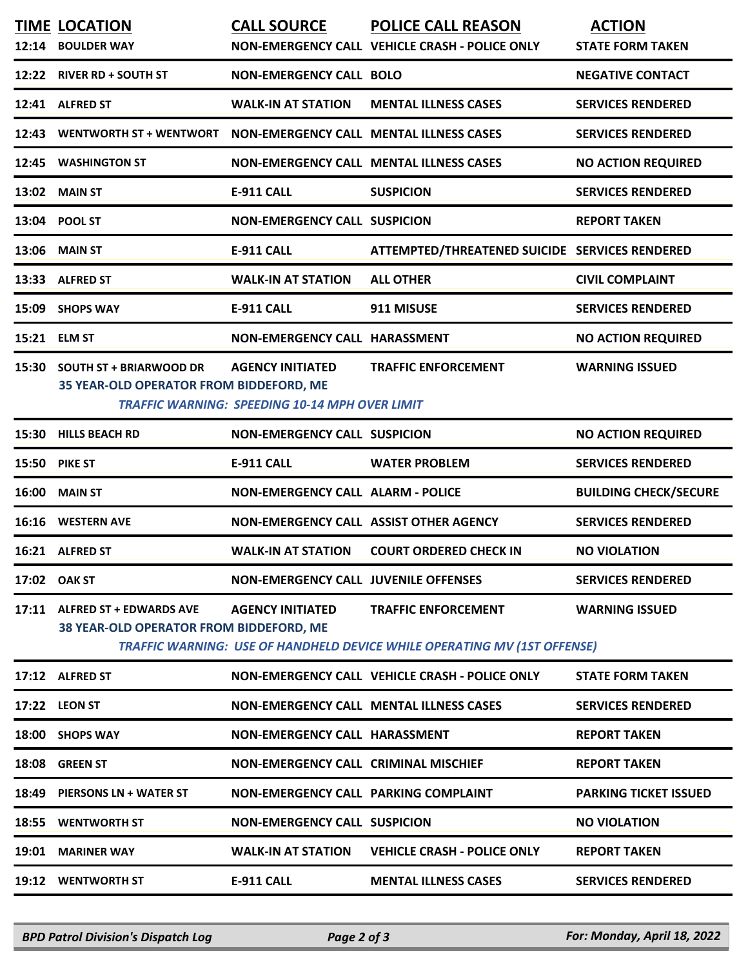|       | <b>TIME LOCATION</b><br>12:14 BOULDER WAY                                | <b>CALL SOURCE</b>                                                               | <b>POLICE CALL REASON</b><br>NON-EMERGENCY CALL VEHICLE CRASH - POLICE ONLY                                   | <b>ACTION</b><br><b>STATE FORM TAKEN</b> |
|-------|--------------------------------------------------------------------------|----------------------------------------------------------------------------------|---------------------------------------------------------------------------------------------------------------|------------------------------------------|
|       | 12:22 RIVER RD + SOUTH ST                                                | <b>NON-EMERGENCY CALL BOLO</b>                                                   |                                                                                                               | <b>NEGATIVE CONTACT</b>                  |
|       | 12:41 ALFRED ST                                                          | <b>WALK-IN AT STATION</b>                                                        | <b>MENTAL ILLNESS CASES</b>                                                                                   | <b>SERVICES RENDERED</b>                 |
| 12:43 | WENTWORTH ST + WENTWORT                                                  |                                                                                  | <b>NON-EMERGENCY CALL MENTAL ILLNESS CASES</b>                                                                | <b>SERVICES RENDERED</b>                 |
| 12:45 | <b>WASHINGTON ST</b>                                                     |                                                                                  | <b>NON-EMERGENCY CALL MENTAL ILLNESS CASES</b>                                                                | <b>NO ACTION REQUIRED</b>                |
|       | 13:02 MAIN ST                                                            | <b>E-911 CALL</b>                                                                | <b>SUSPICION</b>                                                                                              | <b>SERVICES RENDERED</b>                 |
|       | 13:04 POOL ST                                                            | <b>NON-EMERGENCY CALL SUSPICION</b>                                              |                                                                                                               | <b>REPORT TAKEN</b>                      |
|       | 13:06 MAIN ST                                                            | <b>E-911 CALL</b>                                                                | ATTEMPTED/THREATENED SUICIDE SERVICES RENDERED                                                                |                                          |
| 13:33 | <b>ALFRED ST</b>                                                         | <b>WALK-IN AT STATION</b>                                                        | <b>ALL OTHER</b>                                                                                              | <b>CIVIL COMPLAINT</b>                   |
|       | 15:09 SHOPS WAY                                                          | <b>E-911 CALL</b>                                                                | 911 MISUSE                                                                                                    | <b>SERVICES RENDERED</b>                 |
|       | 15:21 ELM ST                                                             | NON-EMERGENCY CALL HARASSMENT                                                    |                                                                                                               | <b>NO ACTION REQUIRED</b>                |
|       | 15:30 SOUTH ST + BRIARWOOD DR<br>35 YEAR-OLD OPERATOR FROM BIDDEFORD, ME | <b>AGENCY INITIATED</b><br><b>TRAFFIC WARNING: SPEEDING 10-14 MPH OVER LIMIT</b> | <b>TRAFFIC ENFORCEMENT</b>                                                                                    | <b>WARNING ISSUED</b>                    |
|       | 15:30 HILLS BEACH RD                                                     | <b>NON-EMERGENCY CALL SUSPICION</b>                                              |                                                                                                               | <b>NO ACTION REQUIRED</b>                |
|       | <b>15:50 PIKE ST</b>                                                     | <b>E-911 CALL</b>                                                                | <b>WATER PROBLEM</b>                                                                                          | <b>SERVICES RENDERED</b>                 |
|       | 16:00 MAIN ST                                                            | <b>NON-EMERGENCY CALL ALARM - POLICE</b>                                         |                                                                                                               | <b>BUILDING CHECK/SECURE</b>             |
|       | 16:16 WESTERN AVE                                                        | NON-EMERGENCY CALL ASSIST OTHER AGENCY                                           |                                                                                                               | <b>SERVICES RENDERED</b>                 |
|       | 16:21 ALFRED ST                                                          | <b>WALK-IN AT STATION</b>                                                        | <b>COURT ORDERED CHECK IN</b>                                                                                 | <b>NO VIOLATION</b>                      |
|       | 17:02 OAK ST                                                             | <b>NON-EMERGENCY CALL JUVENILE OFFENSES</b>                                      |                                                                                                               | <b>SERVICES RENDERED</b>                 |
|       | 17:11 ALFRED ST + EDWARDS AVE<br>38 YEAR-OLD OPERATOR FROM BIDDEFORD, ME | <b>AGENCY INITIATED</b>                                                          | <b>TRAFFIC ENFORCEMENT</b><br><b>TRAFFIC WARNING: USE OF HANDHELD DEVICE WHILE OPERATING MV (1ST OFFENSE)</b> | <b>WARNING ISSUED</b>                    |
|       | 17:12 ALFRED ST                                                          |                                                                                  | NON-EMERGENCY CALL VEHICLE CRASH - POLICE ONLY                                                                | <b>STATE FORM TAKEN</b>                  |
|       | 17:22 LEON ST                                                            |                                                                                  | <b>NON-EMERGENCY CALL MENTAL ILLNESS CASES</b>                                                                | <b>SERVICES RENDERED</b>                 |
|       | 18:00 SHOPS WAY                                                          | NON-EMERGENCY CALL HARASSMENT                                                    |                                                                                                               | <b>REPORT TAKEN</b>                      |
|       | 18:08 GREEN ST                                                           | NON-EMERGENCY CALL CRIMINAL MISCHIEF                                             |                                                                                                               | <b>REPORT TAKEN</b>                      |
|       | 18:49 PIERSONS LN + WATER ST                                             | NON-EMERGENCY CALL PARKING COMPLAINT                                             |                                                                                                               | <b>PARKING TICKET ISSUED</b>             |
|       | 18:55 WENTWORTH ST                                                       | <b>NON-EMERGENCY CALL SUSPICION</b>                                              |                                                                                                               | <b>NO VIOLATION</b>                      |
|       | 19:01 MARINER WAY                                                        | <b>WALK-IN AT STATION</b>                                                        | <b>VEHICLE CRASH - POLICE ONLY</b>                                                                            | <b>REPORT TAKEN</b>                      |
|       | 19:12 WENTWORTH ST                                                       | <b>E-911 CALL</b>                                                                | <b>MENTAL ILLNESS CASES</b>                                                                                   | <b>SERVICES RENDERED</b>                 |
|       |                                                                          |                                                                                  |                                                                                                               |                                          |